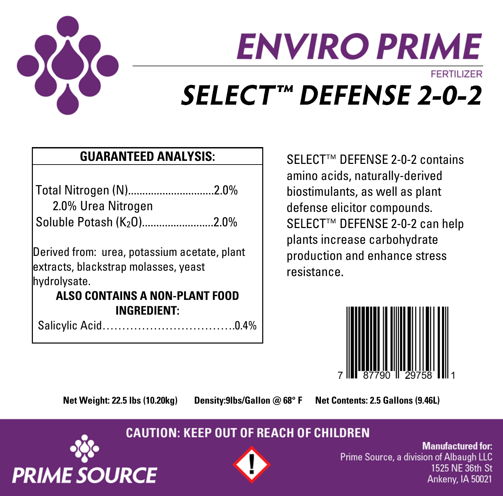

# **ENVIRO PRIME FFRTILIZER** SELECT™ DEFENSE 2-0-2

## **GUARANTEED ANALYSIS:**

Total Nitrogen (N)..............................2.0% 2.0% Urea Nitrogen Soluble Potash (K<sub>2</sub>O)...........................2.0%

Derived from: urea, potassium acetate, plant extracts, blackstrap molasses, yeast hydrolysate.

### **ALSO CONTAINS A NON-PLANT FOOD INGREDIENT:**

Salicylic Acid…………………………….0.4%

SELECT<sup>™</sup> DEFENSE 2-0-2 contains amino acids, naturally-derived biostimulants, as well as plant defense elicitor compounds. SELECT™ DEFENSE 2-0-2 can help plants increase carbohydrate production and enhance stress resistance



**Net Weight: 22.5 lbs (10.20kg) Density:9lbs/Gallon @ 68° F Net Contents: 2.5 Gallons (9.46L)**

## **CAUTION: KEEP OUT OF REACH OF CHILDREN**





**Manufactured for:** Prime Source, a division of Albaugh LLC 1525 NE 36th St Ankeny, IA 50021